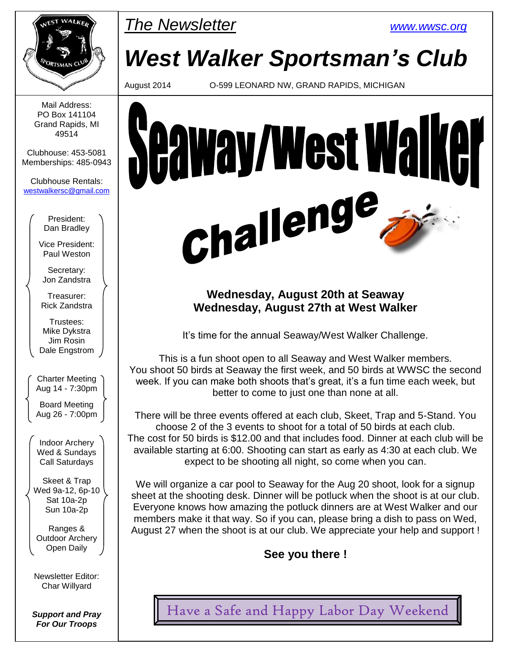

Mail Address: PO Box 141104 Grand Rapids, MI 49514

Clubhouse: 453-5081 Memberships: 485-0943

Clubhouse Rentals: [westwalkersc@gmail.com](mailto:westwalkersc@gmail.com)

> President: Dan Bradley

Vice President: Paul Weston

Secretary: Jon Zandstra

Treasurer: Rick Zandstra

Trustees: Mike Dykstra Jim Rosin Dale Engstrom

Charter Meeting Aug 14 - 7:30pm

Board Meeting Aug 26 - 7:00pm

Indoor Archery Wed & Sundays Call Saturdays

Skeet & Trap Wed 9a-12, 6p-10 Sat 10a-2p Sun 10a-2p

Ranges & Outdoor Archery Open Daily

Newsletter Editor: Char Willyard

*Support and Pray For Our Troops*

# *The Newsletter [www.wwsc.org](file:///C:/WWSC/Newsletter/www.wwsc.org)*

# *West Walker Sportsman's Club*

August 2014 O-599 LEONARD NW, GRAND RAPIDS, MICHIGAN



### **Wednesday, August 20th at Seaway Wednesday, August 27th at West Walker**

It's time for the annual Seaway/West Walker Challenge.

This is a fun shoot open to all Seaway and West Walker members. You shoot 50 birds at Seaway the first week, and 50 birds at WWSC the second week. If you can make both shoots that's great, it's a fun time each week, but better to come to just one than none at all.

There will be three events offered at each club, Skeet, Trap and 5-Stand. You choose 2 of the 3 events to shoot for a total of 50 birds at each club. The cost for 50 birds is \$12.00 and that includes food. Dinner at each club will be available starting at 6:00. Shooting can start as early as 4:30 at each club. We expect to be shooting all night, so come when you can.

We will organize a car pool to Seaway for the Aug 20 shoot, look for a signup sheet at the shooting desk. Dinner will be potluck when the shoot is at our club. Everyone knows how amazing the potluck dinners are at West Walker and our members make it that way. So if you can, please bring a dish to pass on Wed, August 27 when the shoot is at our club. We appreciate your help and support !

**See you there !**

Have a Safe and Happy Labor Day Weekend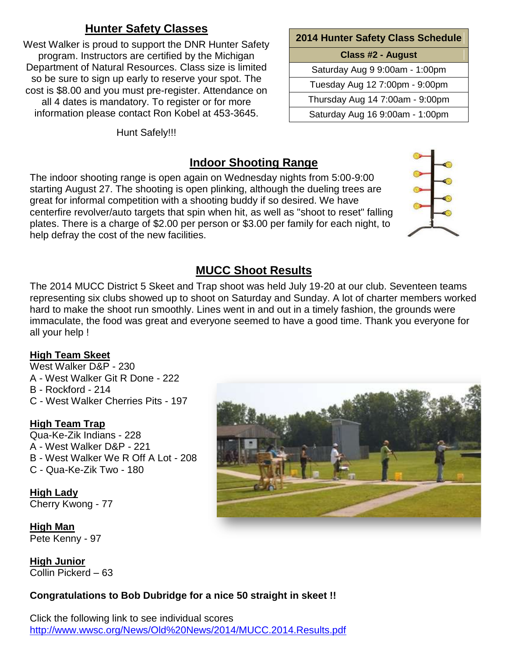### **Hunter Safety Classes**

West Walker is proud to support the DNR Hunter Safety program. Instructors are certified by the Michigan Department of Natural Resources. Class size is limited so be sure to sign up early to reserve your spot. The cost is \$8.00 and you must pre-register. Attendance on all 4 dates is mandatory. To register or for more information please contact Ron Kobel at 453-3645.

Hunt Safely!!!

| 2014 Hunter Safety Class Schedule |  |  |  |  |  |  |
|-----------------------------------|--|--|--|--|--|--|
| <b>Class #2 - August</b>          |  |  |  |  |  |  |
| Saturday Aug 9 9:00am - 1:00pm    |  |  |  |  |  |  |
| Tuesday Aug 12 7:00pm - 9:00pm    |  |  |  |  |  |  |
| Thursday Aug 14 7:00am - 9:00pm   |  |  |  |  |  |  |
| Saturday Aug 16 9:00am - 1:00pm   |  |  |  |  |  |  |

### **Indoor Shooting Range**

The indoor shooting range is open again on Wednesday nights from 5:00-9:00 starting August 27. The shooting is open plinking, although the dueling trees are great for informal competition with a shooting buddy if so desired. We have centerfire revolver/auto targets that spin when hit, as well as "shoot to reset" falling plates. There is a charge of \$2.00 per person or \$3.00 per family for each night, to help defray the cost of the new facilities.



### **MUCC Shoot Results**

The 2014 MUCC District 5 Skeet and Trap shoot was held July 19-20 at our club. Seventeen teams representing six clubs showed up to shoot on Saturday and Sunday. A lot of charter members worked hard to make the shoot run smoothly. Lines went in and out in a timely fashion, the grounds were immaculate, the food was great and everyone seemed to have a good time. Thank you everyone for all your help !

### **High Team Skeet**

West Walker D&P - 230 A - West Walker Git R Done - 222 B - Rockford - 214 C - West Walker Cherries Pits - 197

### **High Team Trap**

Qua-Ke-Zik Indians - 228 A - West Walker D&P - 221 B - West Walker We R Off A Lot - 208 C - Qua-Ke-Zik Two - 180

**High Lady** Cherry Kwong - 77

**High Man** Pete Kenny - 97

**High Junior** Collin Pickerd – 63

### **Congratulations to Bob Dubridge for a nice 50 straight in skeet !!**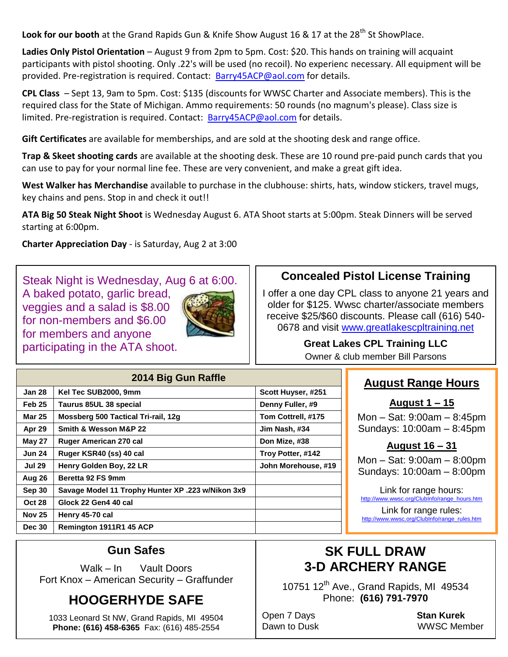Look for our booth at the Grand Rapids Gun & Knife Show August 16 & 17 at the 28<sup>th</sup> St ShowPlace.

**Ladies Only Pistol Orientation** – August 9 from 2pm to 5pm. Cost: \$20. This hands on training will acquaint participants with pistol shooting. Only .22's will be used (no recoil). No experienc necessary. All equipment will be provided. Pre-registration is required. Contact: [Barry45ACP@aol.com](mailto:Barry45ACP@aol.com) for details.

**CPL Class** – Sept 13, 9am to 5pm. Cost: \$135 (discounts for WWSC Charter and Associate members). This is the required class for the State of Michigan. Ammo requirements: 50 rounds (no magnum's please). Class size is limited. Pre-registration is required. Contact: [Barry45ACP@aol.com](mailto:Barry45ACP@aol.com) for details.

**Gift Certificates** are available for memberships, and are sold at the shooting desk and range office.

**Trap & Skeet shooting cards** are available at the shooting desk. These are 10 round pre-paid punch cards that you can use to pay for your normal line fee. These are very convenient, and make a great gift idea.

**West Walker has Merchandise** available to purchase in the clubhouse: shirts, hats, window stickers, travel mugs, key chains and pens. Stop in and check it out!!

**ATA Big 50 Steak Night Shoot** is Wednesday August 6. ATA Shoot starts at 5:00pm. Steak Dinners will be served starting at 6:00pm.

**Charter Appreciation Day** - is Saturday, Aug 2 at 3:00

Steak Night is Wednesday, Aug 6 at 6:00. A baked potato, garlic bread, veggies and a salad is \$8.00 for non-members and \$6.00 for members and anyone participating in the ATA shoot.

**Aug 26 Beretta 92 FS 9mm**

**Oct 28 Glock 22 Gen4 40 cal Nov 25 Henry 45-70 cal**

**Dec 30 Remington 1911R1 45 ACP**



### **Concealed Pistol License Training**

I offer a one day CPL class to anyone 21 years and older for \$125. Wwsc charter/associate members receive \$25/\$60 discounts. Please call (616) 540 0678 and visit [www.greatlakescpltraining.net](http://www.greatlakescpltraining.net/)

> **Great Lakes CPL Training LLC** Owner & club member Bill Parsons

|                   | <b>August R</b>                     |                     |                    |
|-------------------|-------------------------------------|---------------------|--------------------|
| <b>Jan 28</b>     | Kel Tec SUB2000, 9mm                | Scott Huyser, #251  |                    |
| Feb <sub>25</sub> | Taurus 85UL 38 special              | Denny Fuller, #9    | Augu               |
| <b>Mar 25</b>     | Mossberg 500 Tactical Tri-rail, 12g | Tom Cottrell, #175  | Mon $-$ Sat: 9     |
| Apr 29            | Smith & Wesson M&P 22               | Jim Nash, #34       | Sundays: 10        |
| May 27            | <b>Ruger American 270 cal</b>       | Don Mize, #38       | <b>Augus</b>       |
| <b>Jun 24</b>     | Ruger KSR40 (ss) 40 cal             | Troy Potter, #142   | Mon $-$ Sat: 9     |
| <b>Jul 29</b>     | Henry Golden Boy, 22 LR             | John Morehouse, #19 | $0.000$ decay $10$ |

### **Range Hours**

**August 1 – 15**  $0.00$ am – 8:45pm  $0.00$ am – 8:45pm

### **August 16 – 31**

 $0.00$ am – 8:00pm Sundays: 10:00am – 8:00pm

Link for range hours: [http://www.wwsc.org/ClubInfo/range\\_hours.htm](http://www.wwsc.org/ClubInfo/range_hours.htm)

Link for range rules: [http://www.wwsc.org/ClubInfo/range\\_rules.htm](http://www.wwsc.org/ClubInfo/range_rules.htm)

### **Gun Safes**

**Sep 30 Savage Model 11 Trophy Hunter XP .223 w/Nikon 3x9**

Walk – In Vault Doors Fort Knox – American Security – Graffunder

## **HOOGERHYDE SAFE**

1033 Leonard St NW, Grand Rapids, MI 49504 **Phone: (616) 458-6365** Fax: (616) 485-2554

# **SK FULL DRAW 3-D ARCHERY RANGE**

10751  $12^{th}$  Ave., Grand Rapids, MI 49534 Phone: **(616) 791-7970**

Open 7 Days **Stan Kurek**

Dawn to Dusk WWSC Member